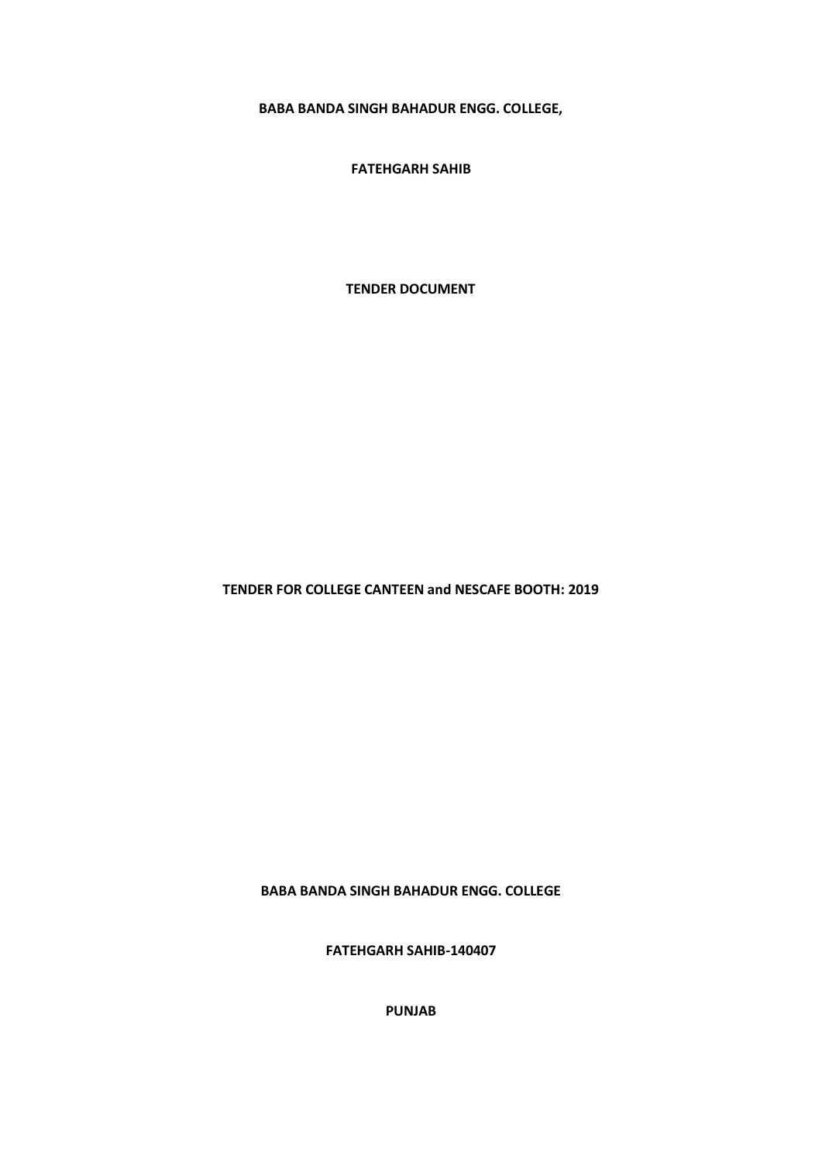**BABA BANDA SINGH BAHADUR ENGG. COLLEGE,**

**FATEHGARH SAHIB**

**TENDER DOCUMENT**

**TENDER FOR COLLEGE CANTEEN and NESCAFE BOOTH: 2019**

**BABA BANDA SINGH BAHADUR ENGG. COLLEGE**

**FATEHGARH SAHIB-140407**

**PUNJAB**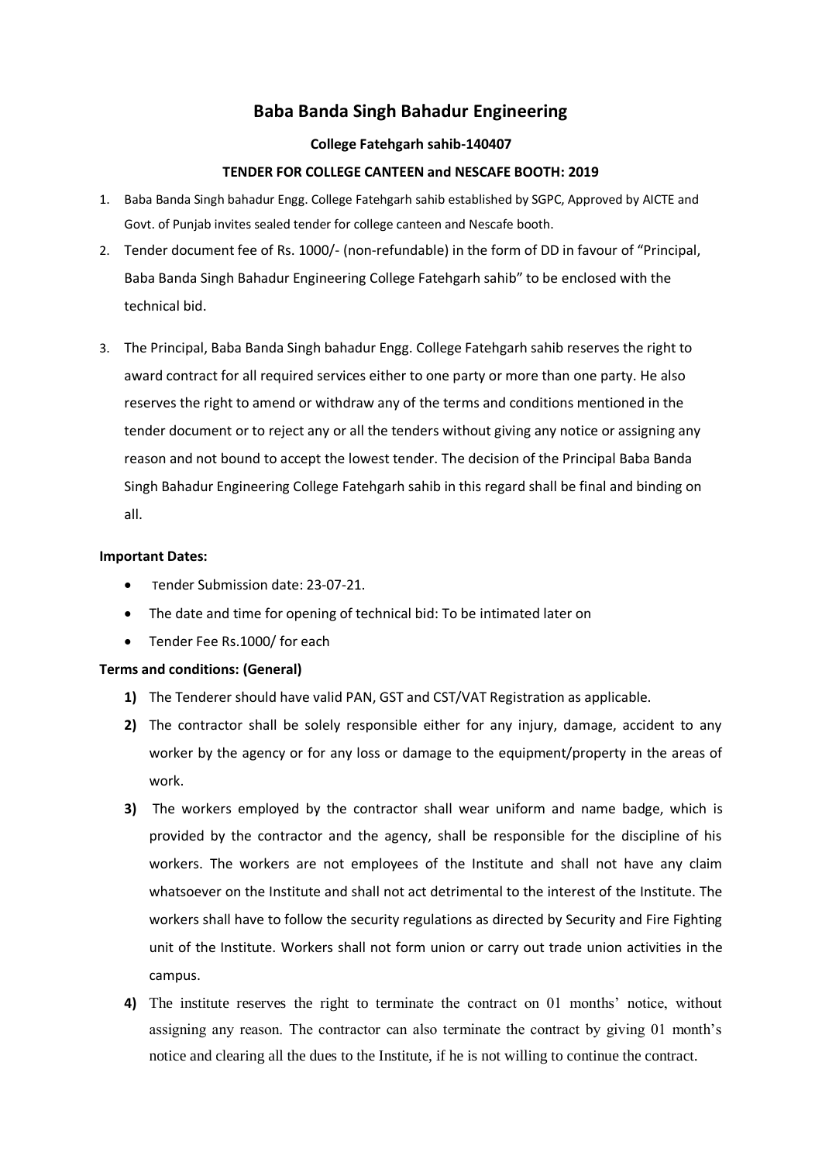# **Baba Banda Singh Bahadur Engineering**

#### **College Fatehgarh sahib-140407**

#### **TENDER FOR COLLEGE CANTEEN and NESCAFE BOOTH: 2019**

- 1. Baba Banda Singh bahadur Engg. College Fatehgarh sahib established by SGPC, Approved by AICTE and Govt. of Punjab invites sealed tender for college canteen and Nescafe booth.
- 2. Tender document fee of Rs. 1000/- (non-refundable) in the form of DD in favour of "Principal, Baba Banda Singh Bahadur Engineering College Fatehgarh sahib" to be enclosed with the technical bid.
- 3. The Principal, Baba Banda Singh bahadur Engg. College Fatehgarh sahib reserves the right to award contract for all required services either to one party or more than one party. He also reserves the right to amend or withdraw any of the terms and conditions mentioned in the tender document or to reject any or all the tenders without giving any notice or assigning any reason and not bound to accept the lowest tender. The decision of the Principal Baba Banda Singh Bahadur Engineering College Fatehgarh sahib in this regard shall be final and binding on all.

#### **Important Dates:**

- Tender Submission date: 23-07-21.
- The date and time for opening of technical bid: To be intimated later on
- Tender Fee Rs.1000/ for each

#### **Terms and conditions: (General)**

- **1)** The Tenderer should have valid PAN, GST and CST/VAT Registration as applicable.
- **2)** The contractor shall be solely responsible either for any injury, damage, accident to any worker by the agency or for any loss or damage to the equipment/property in the areas of work.
- **3)** The workers employed by the contractor shall wear uniform and name badge, which is provided by the contractor and the agency, shall be responsible for the discipline of his workers. The workers are not employees of the Institute and shall not have any claim whatsoever on the Institute and shall not act detrimental to the interest of the Institute. The workers shall have to follow the security regulations as directed by Security and Fire Fighting unit of the Institute. Workers shall not form union or carry out trade union activities in the campus.
- **4)** The institute reserves the right to terminate the contract on 01 months' notice, without assigning any reason. The contractor can also terminate the contract by giving 01 month's notice and clearing all the dues to the Institute, if he is not willing to continue the contract.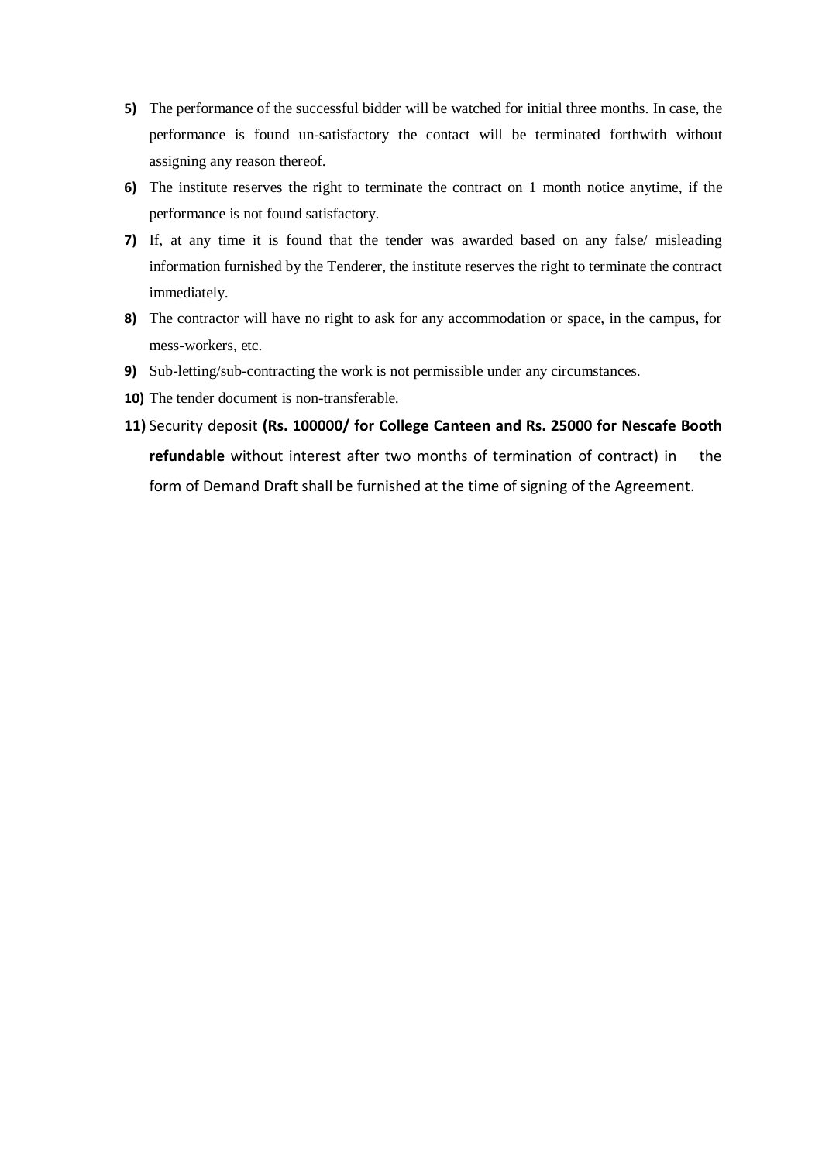- **5)** The performance of the successful bidder will be watched for initial three months. In case, the performance is found un-satisfactory the contact will be terminated forthwith without assigning any reason thereof.
- **6)** The institute reserves the right to terminate the contract on 1 month notice anytime, if the performance is not found satisfactory.
- **7)** If, at any time it is found that the tender was awarded based on any false/ misleading information furnished by the Tenderer, the institute reserves the right to terminate the contract immediately.
- **8)** The contractor will have no right to ask for any accommodation or space, in the campus, for mess-workers, etc.
- **9)** Sub-letting/sub-contracting the work is not permissible under any circumstances.
- **10)** The tender document is non-transferable.
- **11)** Security deposit **(Rs. 100000/ for College Canteen and Rs. 25000 for Nescafe Booth refundable** without interest after two months of termination of contract) in the form of Demand Draft shall be furnished at the time of signing of the Agreement.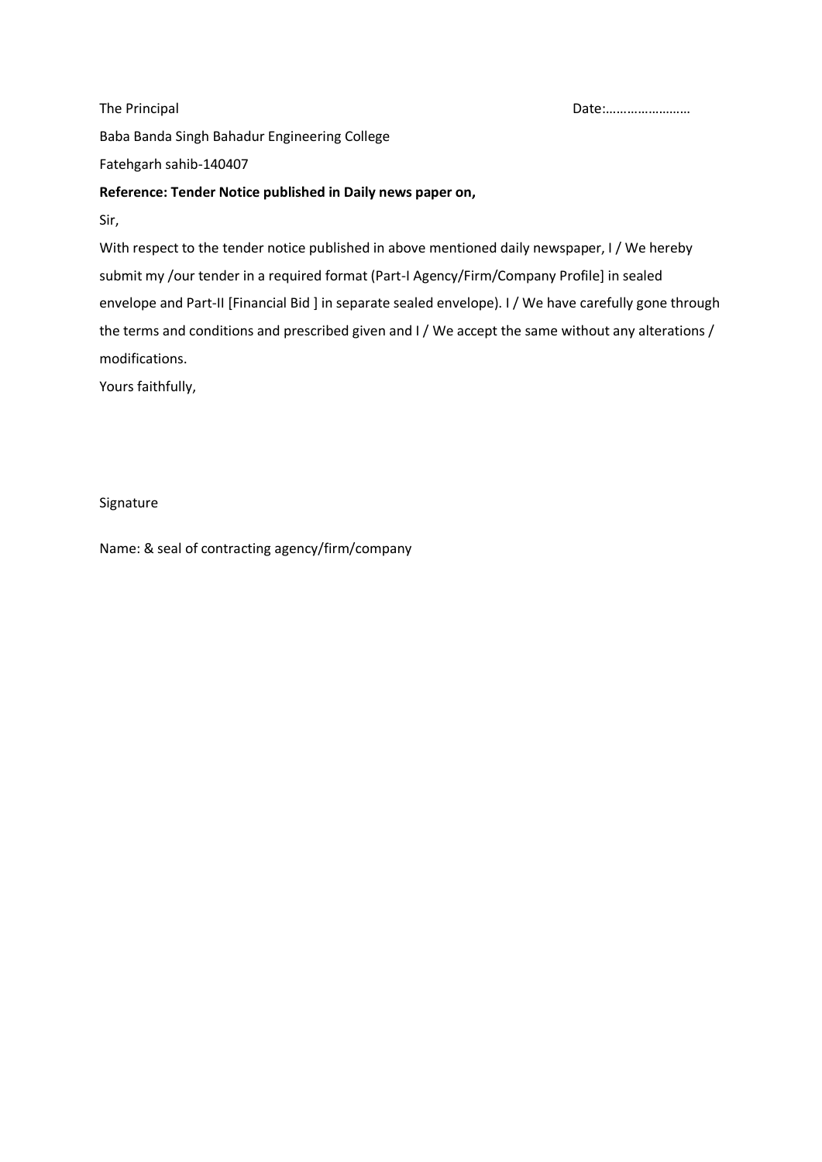Baba Banda Singh Bahadur Engineering College Fatehgarh sahib-140407

## **Reference: Tender Notice published in Daily news paper on,**

Sir,

With respect to the tender notice published in above mentioned daily newspaper, I / We hereby submit my /our tender in a required format (Part-I Agency/Firm/Company Profile] in sealed envelope and Part-II [Financial Bid ] in separate sealed envelope). I / We have carefully gone through the terms and conditions and prescribed given and I / We accept the same without any alterations / modifications.

Yours faithfully,

Signature

Name: & seal of contracting agency/firm/company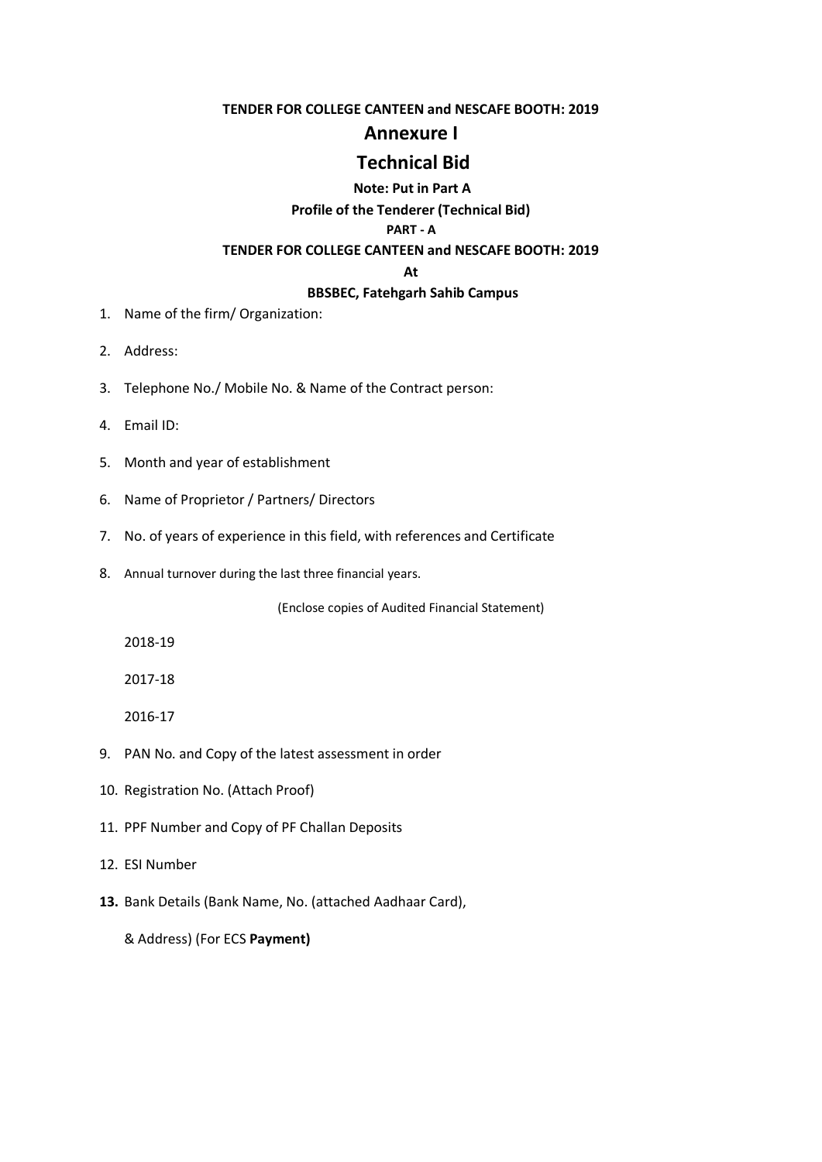#### **TENDER FOR COLLEGE CANTEEN and NESCAFE BOOTH: 2019**

## **Annexure I**

# **Technical Bid**

## **Note: Put in Part A**

**Profile of the Tenderer (Technical Bid)**

#### **PART - A**

## **TENDER FOR COLLEGE CANTEEN and NESCAFE BOOTH: 2019**

### **At**

#### **BBSBEC, Fatehgarh Sahib Campus**

- 1. Name of the firm/ Organization:
- 2. Address:
- 3. Telephone No./ Mobile No. & Name of the Contract person:
- 4. Email ID:
- 5. Month and year of establishment
- 6. Name of Proprietor / Partners/ Directors
- 7. No. of years of experience in this field, with references and Certificate
- 8. Annual turnover during the last three financial years.

(Enclose copies of Audited Financial Statement)

2018-19

2017-18

2016-17

- 9. PAN No. and Copy of the latest assessment in order
- 10. Registration No. (Attach Proof)
- 11. PPF Number and Copy of PF Challan Deposits
- 12. ESI Number
- **13.** Bank Details (Bank Name, No. (attached Aadhaar Card),

& Address) (For ECS **Payment)**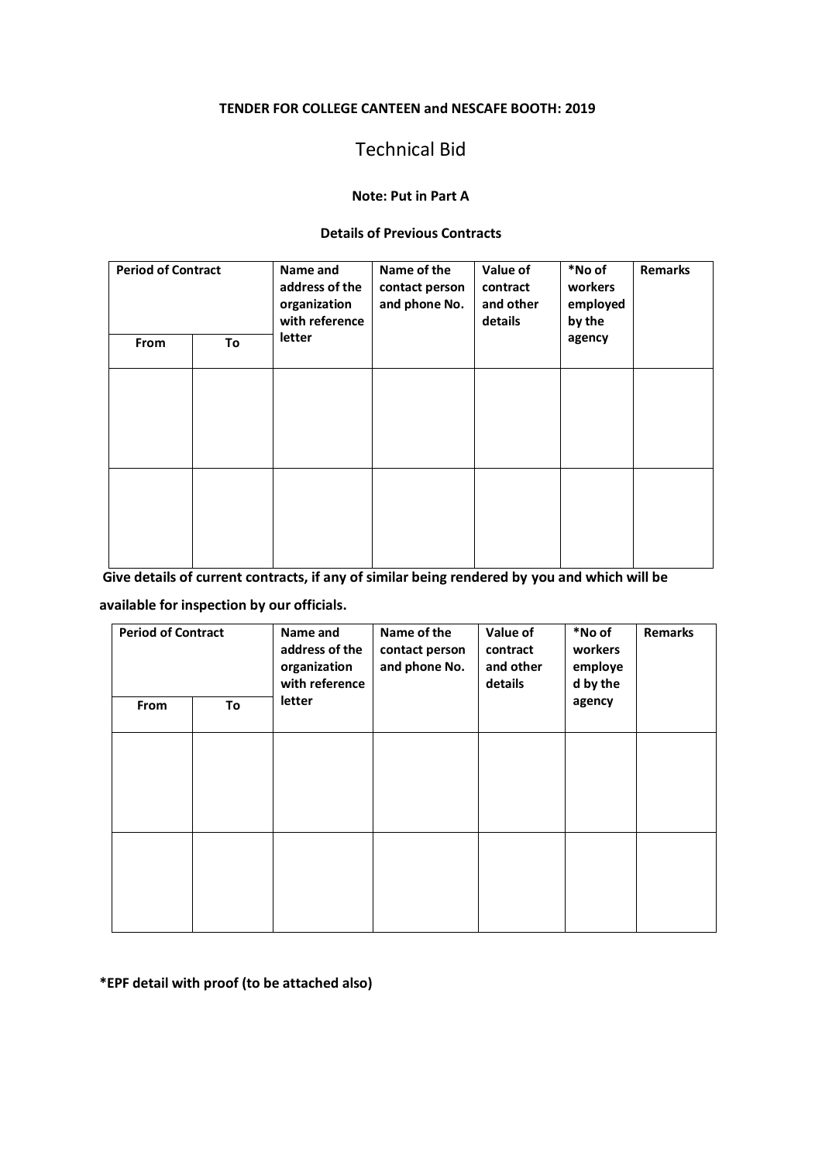#### **TENDER FOR COLLEGE CANTEEN and NESCAFE BOOTH: 2019**

# Technical Bid

## **Note: Put in Part A**

#### **Details of Previous Contracts**

| <b>Period of Contract</b><br>From<br>To |  | Name and<br>address of the<br>organization<br>with reference<br>letter | Name of the<br>contact person<br>and phone No. | Value of<br>contract<br>and other<br>details | *No of<br>workers<br>employed<br>by the<br>agency | <b>Remarks</b> |
|-----------------------------------------|--|------------------------------------------------------------------------|------------------------------------------------|----------------------------------------------|---------------------------------------------------|----------------|
|                                         |  |                                                                        |                                                |                                              |                                                   |                |
|                                         |  |                                                                        |                                                |                                              |                                                   |                |

**Give details of current contracts, if any of similar being rendered by you and which will be** 

**available for inspection by our officials.**

| <b>Period of Contract</b><br>From<br>To |  | Name and<br>address of the<br>organization<br>with reference<br>letter | Name of the<br>contact person<br>and phone No. | Value of<br>contract<br>and other<br>details | *No of<br>workers<br>employe<br>d by the<br>agency | <b>Remarks</b> |
|-----------------------------------------|--|------------------------------------------------------------------------|------------------------------------------------|----------------------------------------------|----------------------------------------------------|----------------|
|                                         |  |                                                                        |                                                |                                              |                                                    |                |
|                                         |  |                                                                        |                                                |                                              |                                                    |                |

**\*EPF detail with proof (to be attached also)**